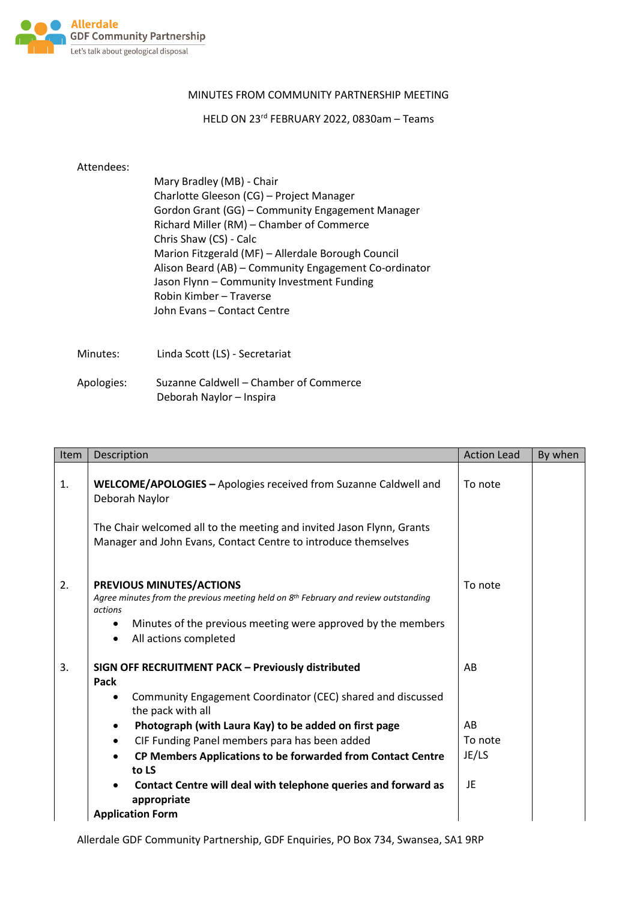

## MINUTES FROM COMMUNITY PARTNERSHIP MEETING

HELD ON 23rd FEBRUARY 2022, 0830am – Teams

## Attendees:

| Mary Bradley (MB) - Chair                             |
|-------------------------------------------------------|
| Charlotte Gleeson (CG) - Project Manager              |
| Gordon Grant (GG) - Community Engagement Manager      |
| Richard Miller (RM) - Chamber of Commerce             |
| Chris Shaw (CS) - Calc                                |
| Marion Fitzgerald (MF) - Allerdale Borough Council    |
| Alison Beard (AB) - Community Engagement Co-ordinator |
| Jason Flynn - Community Investment Funding            |
| Robin Kimber - Traverse                               |
| John Evans – Contact Centre                           |
|                                                       |

Minutes: Linda Scott (LS) - Secretariat

| Apologies: | Suzanne Caldwell – Chamber of Commerce |
|------------|----------------------------------------|
|            | Deborah Naylor - Inspira               |

| Item | Description                                                                                                                                                                                                                                                                                                                                            | <b>Action Lead</b>           | By when |
|------|--------------------------------------------------------------------------------------------------------------------------------------------------------------------------------------------------------------------------------------------------------------------------------------------------------------------------------------------------------|------------------------------|---------|
| 1.   | WELCOME/APOLOGIES - Apologies received from Suzanne Caldwell and<br>Deborah Naylor                                                                                                                                                                                                                                                                     | To note                      |         |
|      | The Chair welcomed all to the meeting and invited Jason Flynn, Grants<br>Manager and John Evans, Contact Centre to introduce themselves                                                                                                                                                                                                                |                              |         |
| 2.   | PREVIOUS MINUTES/ACTIONS<br>Agree minutes from the previous meeting held on $8th$ February and review outstanding<br>actions<br>Minutes of the previous meeting were approved by the members<br>$\bullet$<br>All actions completed<br>$\bullet$                                                                                                        | To note                      |         |
| 3.   | SIGN OFF RECRUITMENT PACK - Previously distributed<br>Pack<br>Community Engagement Coordinator (CEC) shared and discussed<br>$\bullet$                                                                                                                                                                                                                 | AB                           |         |
|      | the pack with all<br>Photograph (with Laura Kay) to be added on first page<br>$\bullet$<br>CIF Funding Panel members para has been added<br>$\bullet$<br>CP Members Applications to be forwarded from Contact Centre<br>$\bullet$<br>to LS<br>Contact Centre will deal with telephone queries and forward as<br>appropriate<br><b>Application Form</b> | AB<br>To note<br>JE/LS<br>JE |         |

Allerdale GDF Community Partnership, GDF Enquiries, PO Box 734, Swansea, SA1 9RP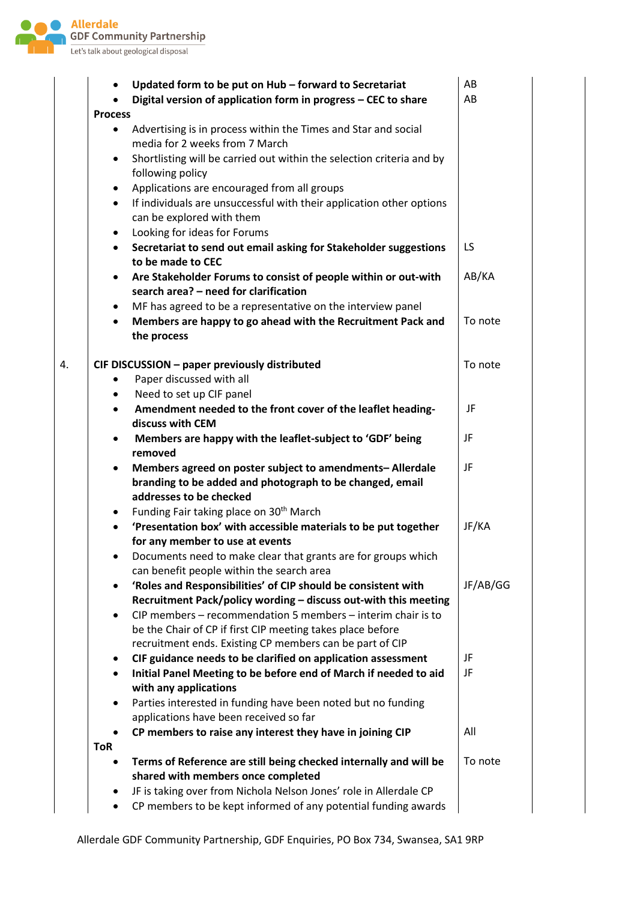

|    |                | Updated form to be put on Hub - forward to Secretariat                                                                           | AB       |
|----|----------------|----------------------------------------------------------------------------------------------------------------------------------|----------|
|    |                | Digital version of application form in progress - CEC to share                                                                   | AB       |
|    | <b>Process</b> |                                                                                                                                  |          |
|    |                | Advertising is in process within the Times and Star and social<br>media for 2 weeks from 7 March                                 |          |
|    | ٠              | Shortlisting will be carried out within the selection criteria and by<br>following policy                                        |          |
|    | ٠              | Applications are encouraged from all groups                                                                                      |          |
|    | $\bullet$      | If individuals are unsuccessful with their application other options                                                             |          |
|    |                | can be explored with them                                                                                                        |          |
|    | ٠              | Looking for ideas for Forums                                                                                                     | LS       |
|    | $\bullet$      | Secretariat to send out email asking for Stakeholder suggestions<br>to be made to CEC                                            |          |
|    | ٠              | Are Stakeholder Forums to consist of people within or out-with<br>search area? - need for clarification                          | AB/KA    |
|    | $\bullet$      | MF has agreed to be a representative on the interview panel                                                                      |          |
|    | $\bullet$      | Members are happy to go ahead with the Recruitment Pack and                                                                      | To note  |
|    |                | the process                                                                                                                      |          |
| 4. |                | CIF DISCUSSION - paper previously distributed                                                                                    | To note  |
|    |                | Paper discussed with all                                                                                                         |          |
|    | ٠              | Need to set up CIF panel                                                                                                         |          |
|    | $\bullet$      | Amendment needed to the front cover of the leaflet heading-<br>discuss with CEM                                                  | JF       |
|    | $\bullet$      | Members are happy with the leaflet-subject to 'GDF' being                                                                        | JF       |
|    |                | removed                                                                                                                          |          |
|    | ٠              | Members agreed on poster subject to amendments-Allerdale<br>branding to be added and photograph to be changed, email             | JF       |
|    |                | addresses to be checked                                                                                                          |          |
|    | $\bullet$      | Funding Fair taking place on 30 <sup>th</sup> March                                                                              |          |
|    | $\bullet$      | 'Presentation box' with accessible materials to be put together<br>for any member to use at events                               | JF/KA    |
|    |                | Documents need to make clear that grants are for groups which<br>can benefit people within the search area                       |          |
|    | $\bullet$      | 'Roles and Responsibilities' of CIP should be consistent with<br>Recruitment Pack/policy wording - discuss out-with this meeting | JF/AB/GG |
|    | $\bullet$      | CIP members - recommendation 5 members - interim chair is to<br>be the Chair of CP if first CIP meeting takes place before       |          |
|    |                | recruitment ends. Existing CP members can be part of CIP                                                                         |          |
|    | ٠              | CIF guidance needs to be clarified on application assessment                                                                     | JF       |
|    | $\bullet$      | Initial Panel Meeting to be before end of March if needed to aid<br>with any applications                                        | JF       |
|    | ٠              | Parties interested in funding have been noted but no funding<br>applications have been received so far                           |          |
|    |                | CP members to raise any interest they have in joining CIP                                                                        | All      |
|    | <b>ToR</b>     |                                                                                                                                  |          |
|    |                | Terms of Reference are still being checked internally and will be<br>shared with members once completed                          | To note  |
|    | ٠              | JF is taking over from Nichola Nelson Jones' role in Allerdale CP                                                                |          |
|    | $\bullet$      | CP members to be kept informed of any potential funding awards                                                                   |          |